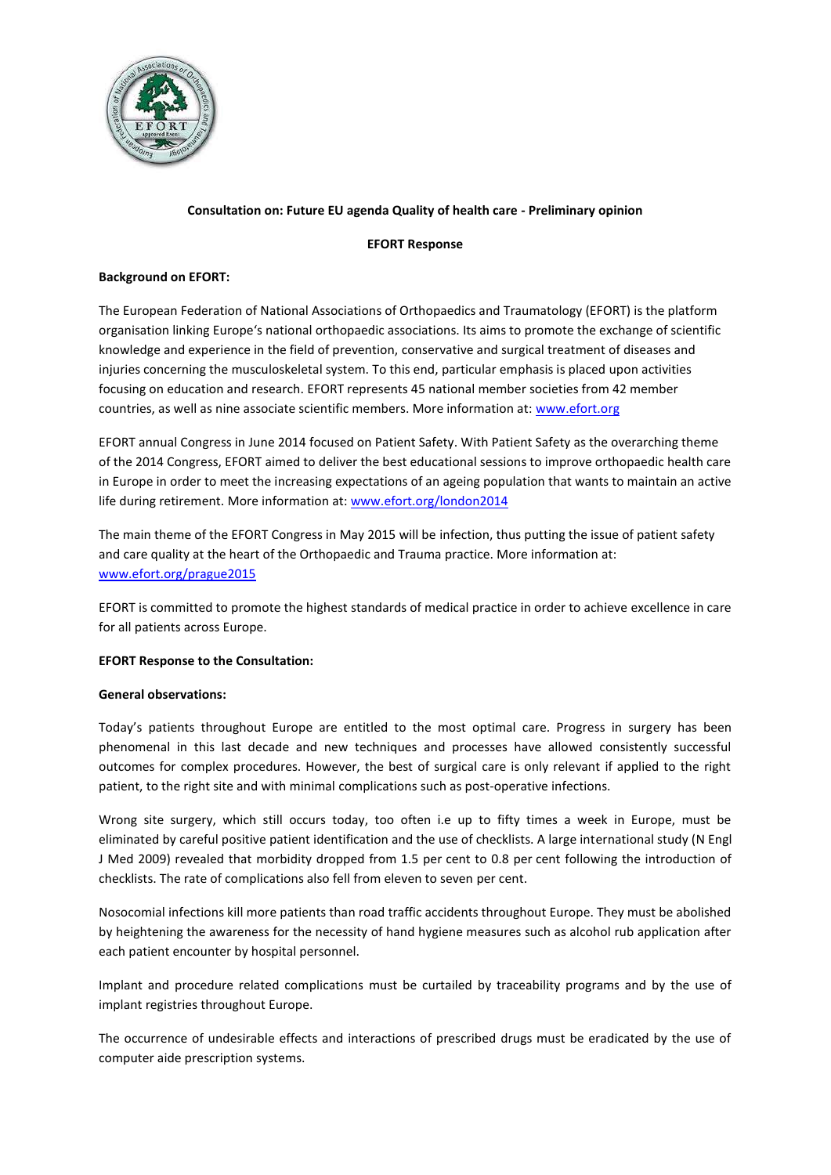

### **Consultation on: Future EU agenda Quality of health care - Preliminary opinion**

#### **EFORT Response**

#### **Background on EFORT:**

The European Federation of National Associations of Orthopaedics and Traumatology (EFORT) is the platform organisation linking Europe's national orthopaedic associations. Its aims to promote the exchange of scientific knowledge and experience in the field of prevention, conservative and surgical treatment of diseases and injuries concerning the musculoskeletal system. To this end, particular emphasis is placed upon activities focusing on education and research. EFORT represents 45 national member societies from 42 member countries, as well as nine associate scientific members. More information at: [www.efort.org](http://www.efort.org/)

EFORT annual Congress in June 2014 focused on Patient Safety. With Patient Safety as the overarching theme of the 2014 Congress, EFORT aimed to deliver the best educational sessions to improve orthopaedic health care in Europe in order to meet the increasing expectations of an ageing population that wants to maintain an active life during retirement. More information at: [www.efort.org/london2014](http://www.efort.org/london2014) 

The main theme of the EFORT Congress in May 2015 will be infection, thus putting the issue of patient safety and care quality at the heart of the Orthopaedic and Trauma practice. More information at: [www.efort.org/prague2015](https://www.efort.org/prague2015) 

EFORT is committed to promote the highest standards of medical practice in order to achieve excellence in care for all patients across Europe.

#### **EFORT Response to the Consultation:**

#### **General observations:**

Today's patients throughout Europe are entitled to the most optimal care. Progress in surgery has been phenomenal in this last decade and new techniques and processes have allowed consistently successful outcomes for complex procedures. However, the best of surgical care is only relevant if applied to the right patient, to the right site and with minimal complications such as post-operative infections.

Wrong site surgery, which still occurs today, too often i.e up to fifty times a week in Europe, must be eliminated by careful positive patient identification and the use of checklists. A large international study (N Engl J Med 2009) revealed that morbidity dropped from 1.5 per cent to 0.8 per cent following the introduction of checklists. The rate of complications also fell from eleven to seven per cent.

Nosocomial infections kill more patients than road traffic accidents throughout Europe. They must be abolished by heightening the awareness for the necessity of hand hygiene measures such as alcohol rub application after each patient encounter by hospital personnel.

Implant and procedure related complications must be curtailed by traceability programs and by the use of implant registries throughout Europe.

The occurrence of undesirable effects and interactions of prescribed drugs must be eradicated by the use of computer aide prescription systems.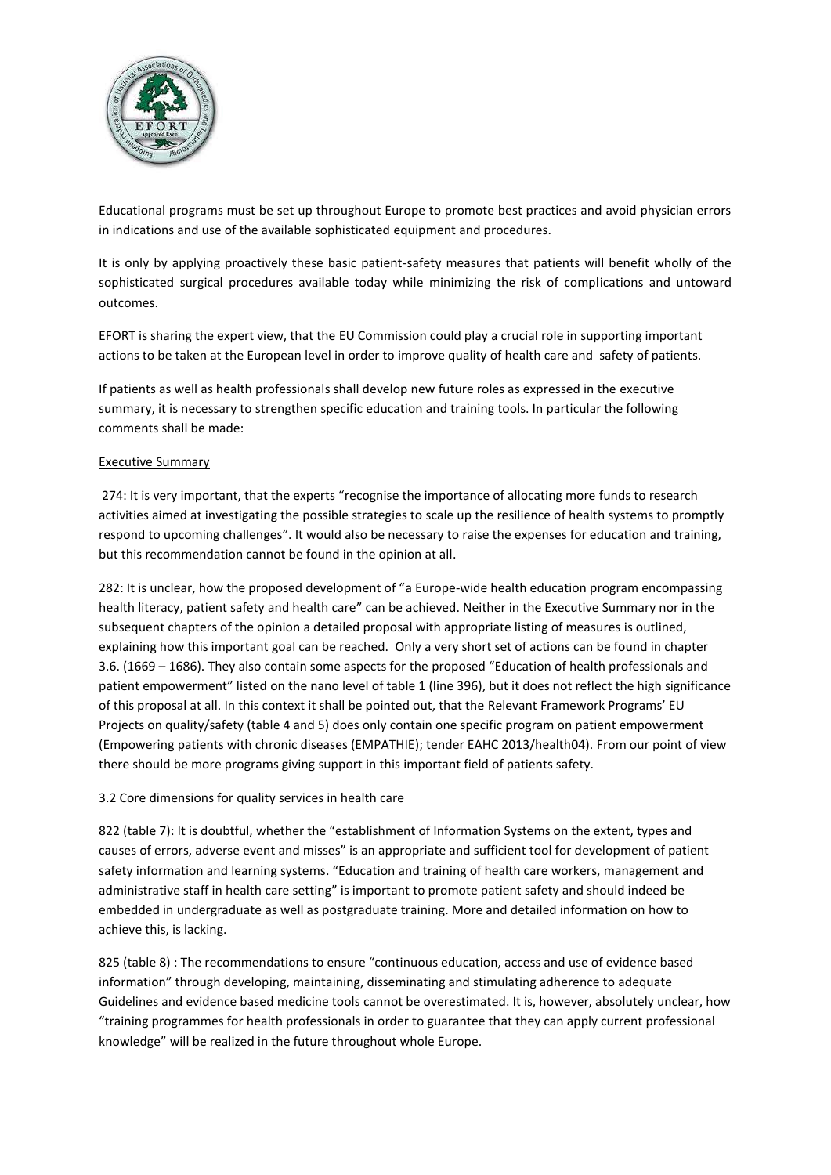

Educational programs must be set up throughout Europe to promote best practices and avoid physician errors in indications and use of the available sophisticated equipment and procedures.

It is only by applying proactively these basic patient-safety measures that patients will benefit wholly of the sophisticated surgical procedures available today while minimizing the risk of complications and untoward outcomes.

EFORT is sharing the expert view, that the EU Commission could play a crucial role in supporting important actions to be taken at the European level in order to improve quality of health care and safety of patients.

If patients as well as health professionals shall develop new future roles as expressed in the executive summary, it is necessary to strengthen specific education and training tools. In particular the following comments shall be made:

### Executive Summary

274: It is very important, that the experts "recognise the importance of allocating more funds to research activities aimed at investigating the possible strategies to scale up the resilience of health systems to promptly respond to upcoming challenges". It would also be necessary to raise the expenses for education and training, but this recommendation cannot be found in the opinion at all.

282: It is unclear, how the proposed development of "a Europe-wide health education program encompassing health literacy, patient safety and health care" can be achieved. Neither in the Executive Summary nor in the subsequent chapters of the opinion a detailed proposal with appropriate listing of measures is outlined, explaining how this important goal can be reached. Only a very short set of actions can be found in chapter 3.6. (1669 – 1686). They also contain some aspects for the proposed "Education of health professionals and patient empowerment" listed on the nano level of table 1 (line 396), but it does not reflect the high significance of this proposal at all. In this context it shall be pointed out, that the Relevant Framework Programs' EU Projects on quality/safety (table 4 and 5) does only contain one specific program on patient empowerment (Empowering patients with chronic diseases (EMPATHIE); tender EAHC 2013/health04). From our point of view there should be more programs giving support in this important field of patients safety.

#### 3.2 Core dimensions for quality services in health care

822 (table 7): It is doubtful, whether the "establishment of Information Systems on the extent, types and causes of errors, adverse event and misses" is an appropriate and sufficient tool for development of patient safety information and learning systems. "Education and training of health care workers, management and administrative staff in health care setting" is important to promote patient safety and should indeed be embedded in undergraduate as well as postgraduate training. More and detailed information on how to achieve this, is lacking.

825 (table 8) : The recommendations to ensure "continuous education, access and use of evidence based information" through developing, maintaining, disseminating and stimulating adherence to adequate Guidelines and evidence based medicine tools cannot be overestimated. It is, however, absolutely unclear, how "training programmes for health professionals in order to guarantee that they can apply current professional knowledge" will be realized in the future throughout whole Europe.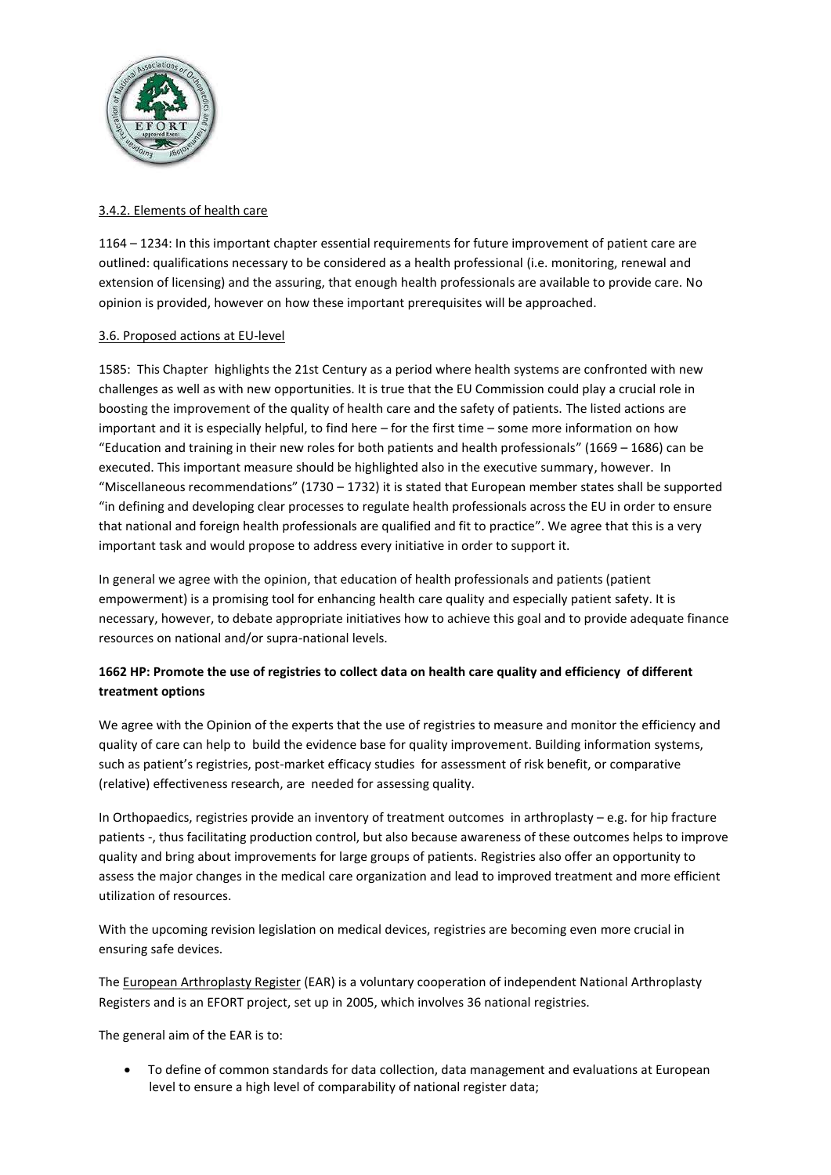

### 3.4.2. Elements of health care

1164 – 1234: In this important chapter essential requirements for future improvement of patient care are outlined: qualifications necessary to be considered as a health professional (i.e. monitoring, renewal and extension of licensing) and the assuring, that enough health professionals are available to provide care. No opinion is provided, however on how these important prerequisites will be approached.

### 3.6. Proposed actions at EU-level

1585: This Chapter highlights the 21st Century as a period where health systems are confronted with new challenges as well as with new opportunities. It is true that the EU Commission could play a crucial role in boosting the improvement of the quality of health care and the safety of patients. The listed actions are important and it is especially helpful, to find here – for the first time – some more information on how "Education and training in their new roles for both patients and health professionals" (1669 – 1686) can be executed. This important measure should be highlighted also in the executive summary, however. In "Miscellaneous recommendations" (1730 – 1732) it is stated that European member states shall be supported "in defining and developing clear processes to regulate health professionals across the EU in order to ensure that national and foreign health professionals are qualified and fit to practice". We agree that this is a very important task and would propose to address every initiative in order to support it.

In general we agree with the opinion, that education of health professionals and patients (patient empowerment) is a promising tool for enhancing health care quality and especially patient safety. It is necessary, however, to debate appropriate initiatives how to achieve this goal and to provide adequate finance resources on national and/or supra-national levels.

# **1662 HP: Promote the use of registries to collect data on health care quality and efficiency of different treatment options**

We agree with the Opinion of the experts that the use of registries to measure and monitor the efficiency and quality of care can help to build the evidence base for quality improvement. Building information systems, such as patient's registries, post-market efficacy studies for assessment of risk benefit, or comparative (relative) effectiveness research, are needed for assessing quality.

In Orthopaedics, registries provide an inventory of treatment outcomes in arthroplasty – e.g. for hip fracture patients -, thus facilitating production control, but also because awareness of these outcomes helps to improve quality and bring about improvements for large groups of patients. Registries also offer an opportunity to assess the major changes in the medical care organization and lead to improved treatment and more efficient utilization of resources.

With the upcoming revision legislation on medical devices, registries are becoming even more crucial in ensuring safe devices.

The [European Arthroplasty Register](http://www.ear.efort.org/) (EAR) is a voluntary cooperation of independent National Arthroplasty Registers and is an EFORT project, set up in 2005, which involves 36 national registries.

The general aim of the EAR is to:

 To define of common standards for data collection, data management and evaluations at European level to ensure a high level of comparability of national register data;